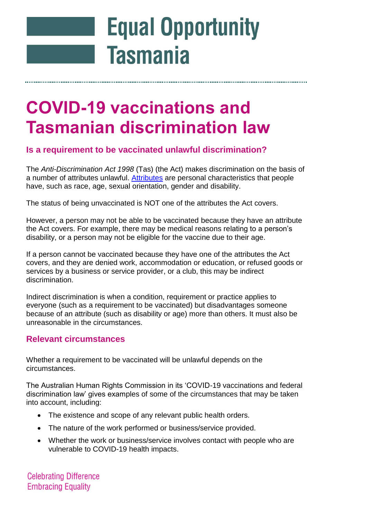# **Equal Opportunity Tasmania**

# **COVID-19 vaccinations and Tasmanian discrimination law**

## **Is a requirement to be vaccinated unlawful discrimination?**

The *Anti-Discrimination Act 1998* (Tas) (the Act) makes discrimination on the basis of a number of attributes unlawful. [Attributes](https://equalopportunity.tas.gov.au/discrimination/unlawful_discrimination) are personal characteristics that people have, such as race, age, sexual orientation, gender and disability.

The status of being unvaccinated is NOT one of the attributes the Act covers.

However, a person may not be able to be vaccinated because they have an attribute the Act covers. For example, there may be medical reasons relating to a person's disability, or a person may not be eligible for the vaccine due to their age.

If a person cannot be vaccinated because they have one of the attributes the Act covers, and they are denied work, accommodation or education, or refused goods or services by a business or service provider, or a club, this may be indirect discrimination.

Indirect discrimination is when a condition, requirement or practice applies to everyone (such as a requirement to be vaccinated) but disadvantages someone because of an attribute (such as disability or age) more than others. It must also be unreasonable in the circumstances.

### **Relevant circumstances**

Whether a requirement to be vaccinated will be unlawful depends on the circumstances.

The Australian Human Rights Commission in its 'COVID-19 vaccinations and federal discrimination law' gives examples of some of the circumstances that may be taken into account, including:

- The existence and scope of any relevant public health orders.
- The nature of the work performed or business/service provided.
- Whether the work or business/service involves contact with people who are vulnerable to COVID-19 health impacts.

**Celebrating Difference Embracing Equality**